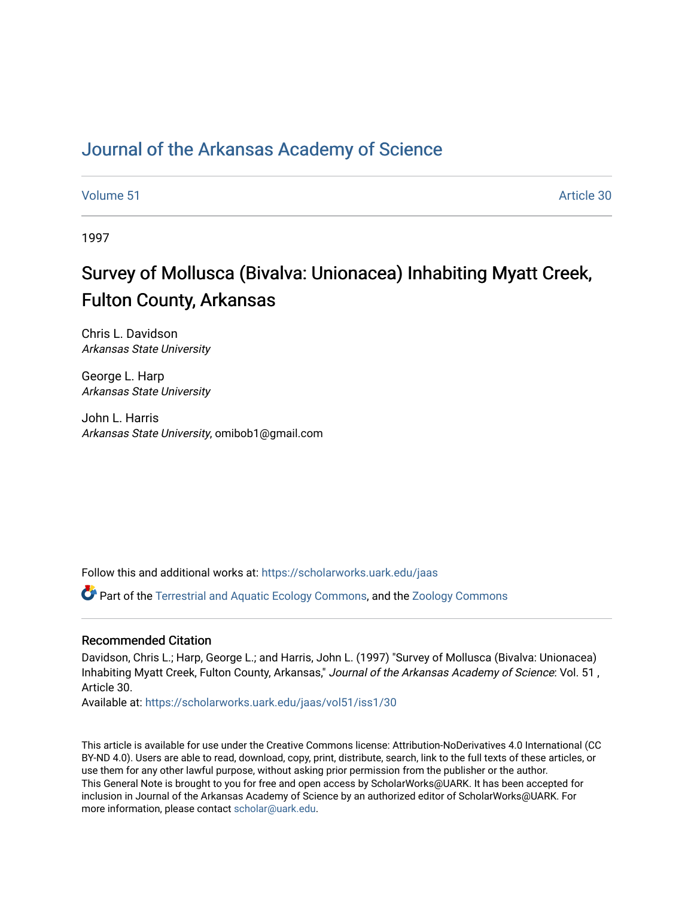# [Journal of the Arkansas Academy of Science](https://scholarworks.uark.edu/jaas)

[Volume 51](https://scholarworks.uark.edu/jaas/vol51) Article 30

1997

# Survey of Mollusca (Bivalva: Unionacea) Inhabiting Myatt Creek, Fulton County, Arkansas

Chris L. Davidson Arkansas State University

George L. Harp Arkansas State University

John L. Harris Arkansas State University, omibob1@gmail.com

Follow this and additional works at: [https://scholarworks.uark.edu/jaas](https://scholarworks.uark.edu/jaas?utm_source=scholarworks.uark.edu%2Fjaas%2Fvol51%2Fiss1%2F30&utm_medium=PDF&utm_campaign=PDFCoverPages) 

**C** Part of the [Terrestrial and Aquatic Ecology Commons,](http://network.bepress.com/hgg/discipline/20?utm_source=scholarworks.uark.edu%2Fjaas%2Fvol51%2Fiss1%2F30&utm_medium=PDF&utm_campaign=PDFCoverPages) and the [Zoology Commons](http://network.bepress.com/hgg/discipline/81?utm_source=scholarworks.uark.edu%2Fjaas%2Fvol51%2Fiss1%2F30&utm_medium=PDF&utm_campaign=PDFCoverPages)

## Recommended Citation

Davidson, Chris L.; Harp, George L.; and Harris, John L. (1997) "Survey of Mollusca (Bivalva: Unionacea) Inhabiting Myatt Creek, Fulton County, Arkansas," Journal of the Arkansas Academy of Science: Vol. 51 , Article 30.

Available at: [https://scholarworks.uark.edu/jaas/vol51/iss1/30](https://scholarworks.uark.edu/jaas/vol51/iss1/30?utm_source=scholarworks.uark.edu%2Fjaas%2Fvol51%2Fiss1%2F30&utm_medium=PDF&utm_campaign=PDFCoverPages)

This article is available for use under the Creative Commons license: Attribution-NoDerivatives 4.0 International (CC BY-ND 4.0). Users are able to read, download, copy, print, distribute, search, link to the full texts of these articles, or use them for any other lawful purpose, without asking prior permission from the publisher or the author. This General Note is brought to you for free and open access by ScholarWorks@UARK. It has been accepted for inclusion in Journal of the Arkansas Academy of Science by an authorized editor of ScholarWorks@UARK. For more information, please contact [scholar@uark.edu.](mailto:scholar@uark.edu)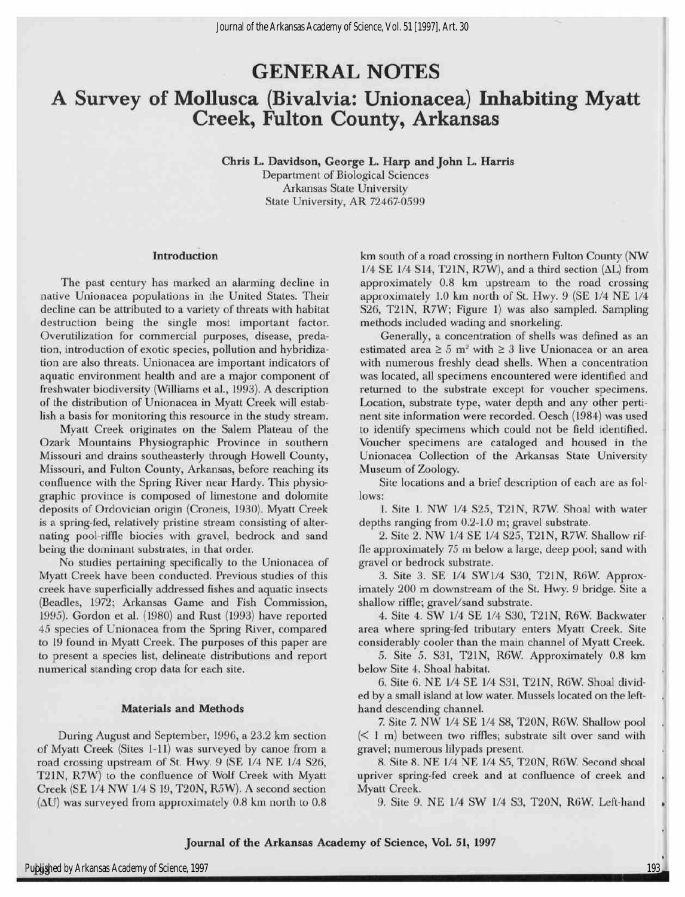# GENERAL NOTES A Survey of Mollusca (Bivalvia: Unionacea) Inhabiting Myatt Creek, Fulton County, Arkansas

Chris L. Davidson, George L. Harp and John L. Harris Department of Biological Sciences Arkansas State University State University, AR 72467-0599

#### Introduction

The past century has marked an alarming decline in native Unionacea populations in the United States. Their decline can be attributed to a variety of threats with habitat destruction being the single most important factor. Overutilization for commercial purposes, disease, predation, introduction of exotic species, pollution and hybridization are also threats. Unionacea are important indicators of aquatic environment health and are a major component of freshwater biodiversity (Williams et al., 1993). A description of the distribution of Unionacea in Myatt Creek willestablish a basis for monitoring this resource in the study stream.

Myatt Creek originates on the Salem Plateau of the Ozark Mountains Physiographic Province in southern Missouri and drains southeasterly through Howell County, Missouri, and Fulton County, Arkansas, before reaching its confluence with the Spring River near Hardy. This physiographic province is composed of limestone and dolomite deposits of Ordovician origin (Croneis, 1930). Myatt Creek is a spring-fed, relatively pristine stream consisting of alternating pool-riffle biocies with gravel, bedrock and sand being the dominant substrates, in that order.

No studies pertaining specifically to the Unionacea of Myatt Creek have been conducted. Previous studies of this creek have superficially addressed fishes and aquatic insects (Beadles, 1972; Arkansas Game and Fish Commission, 1995). Gordon et al. (1980) and Rust (1993) have reported 45 species of Unionacea from the Spring River, compared to <sup>19</sup> found in Myatt Creek. The purposes of this paper are to present a species list, delineate distributions and report numerical standing crop data for each site.

#### Materials and Methods

During August and September, 1996, a 23.2 km section of Myatt Creek (Sites 1-11) was surveyed by canoe from a road crossing upstream of St. Hwy. 9 (SE 1/4 NE 1/4 S26, T21N, R7W) to the confluence of Wolf Creek with Myatt Creek (SE 1/4 NW 1/4 S 19, T20N, R5W). A second section  $(\Delta U)$  was surveyed from approximately 0.8 km north to 0.8

km south of a road crossing in northern Fulton County (NW 1/4 SE 1/4 S14, T21N, R7W), and a third section  $(\Delta L)$  from approximately 0.8 km upstream to the road crossing approximately 1.0 km north of St. Hwy. 9 (SE 1/4 NE 1/4 S26, T21N, R7W; Figure 1) was also sampled. Sampling methods included wading and snorkeling.

Generally, a concentration of shells was defined as an estimated area  $\geq 5$  m<sup>2</sup> with  $\geq 3$  live Unionacea or an area with numerous freshly dead shells. When a concentration was located, all specimens encountered were identified and returned to the substrate except for voucher specimens. Location, substrate type, water depth and any other pertinent site information were recorded. Oesch (1984) was used to identify specimens which could not be field identified. Voucher specimens are cataloged and housed in the Unionacea Collection of the Arkansas State University Museum of Zoology.

Site locations and a brief description of each are as follows:

1. Site 1. NW 1/4 S25, T21N, R7W. Shoal with water depths ranging from 0.2-1.0 m; gravel substrate.

2. Site 2. NW 1/4 SE 1/4 S25, T21N, R7W. Shallow riffle approximately 75 m below a large, deep pool; sand with gravel or bedrock substrate.

3. Site 3. SE 1/4 SW1/4 S30, T21N, R6W. Approximately 200 m downstream of the St. Hwy. 9 bridge. Site a shallow riffle; gravel/sand substrate.

4. Site 4. SW 1/4 SE 1/4 S30, T21N, R6W. Backwater area where spring-fed tributary enters Myatt Creek. Site considerably cooler than the main channel of Myatt Creek.

5. Site 5. S31, T21N, R6W Approximately 0.8 km below Site 4. Shoal habitat.

6. Site 6. NE 1/4 SE 1/4 S31, T21N, R6W. Shoal divided by a small island at low water. Mussels located on the lefthand descending channel.

7. Site 7. NW 1/4 SE 1/4 S8, T20N, R6W Shallow pool (< 1 m) between two riffles; substrate silt over sand with gravel; numerous lilypads present.

8. Site 8. NE 1/4 NE 1/4 S5, T20N, R6W. Second shoal upriver spring-fed creek and at confluence of creek and Myatt Creek.

9. Site 9. NE 1/4 SW 1/4 S3, T20N, R6W. Left-hand

»

193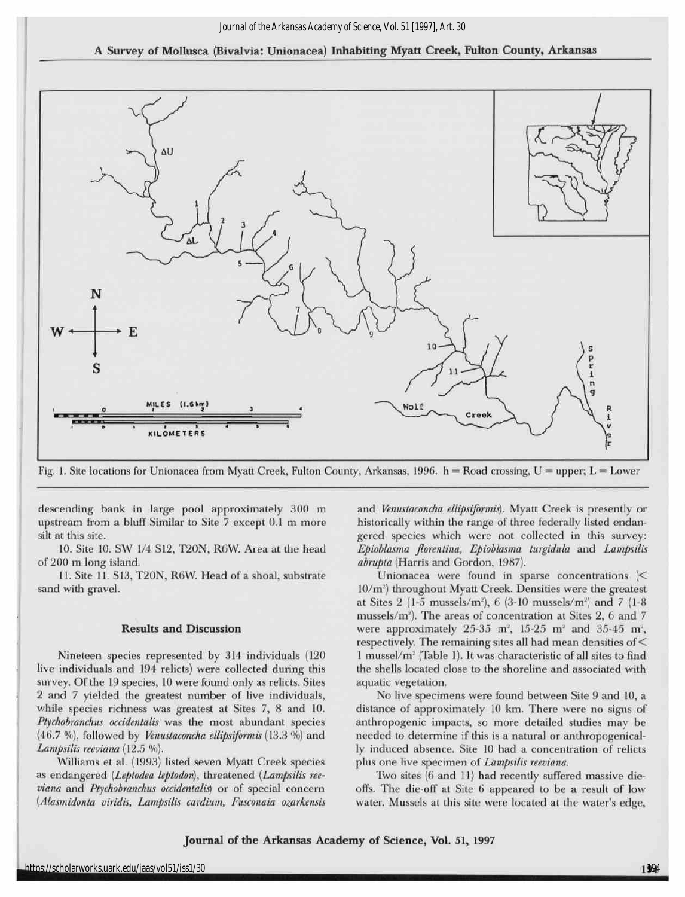### A Survey of Mollusca (Bivalvia: Unionacea) Inhabiting Myatt Creek, Fulton County, Arkansas



Fig. 1. Site locations for Unionacea from Myatt Creek, Fulton County, Arkansas, 1996. h =Road crossing, <sup>U</sup>= upper; L = Lower

descending bank in large pool approximately 300 m upstream from a bluff Similar to Site <sup>7</sup> except 0.1 m more silt at this site.

10. Site 10. SW 1/4 S12, T20N, R6W. Area at the head of 200 m long island.

11. Site 11. S13, T20N, R6W. Head of a shoal, substrate sand with gravel.

#### Results and Discussion

Nineteen species represented by 314 individuals (120 live individuals and 194 relicts) were collected during this survey. Of the 19 species, 10 were found only as relicts. Sites <sup>2</sup> and <sup>7</sup> yielded the greatest number of live individuals, while species richness was greatest at Sites 7, 8 and 10. Ptychobranchus occidentalis was the most abundant species (46.7 %), followed by Venustaconcha ellipsiformis (13.3 %) and Lampsilis reeviana (12.5 %).

Williams et al. (1993) listed seven Myatt Creek species as endangered (Leptodea leptodon), threatened (Lampsilis reeviana and Ptychobranchus occidentalis) or of special concern (Alasmidonta viridis, Lampsilis cardium, Fusconaia ozarkensis

and Venustaconcha ellipsiformis). Myatt Creek is presently or historically within the range of three federally listed endangered species which were not collected in this survey: Epioblasma florentina, Epioblasma turgidula and Lampsilis abrupta (Harris and Gordon, 1987).

Unionacea were found in sparse concentrations (< 10/m²) throughout Myatt Creek. Densities were the greates at Sites  $2$  (1-5 mussels/m<sup>2</sup>), 6 (3-10 mussels/m<sup>2</sup>) and 7 (1-8 mussels/m<sup>2</sup>). The areas of concentration at Sites 2, 6 and 7 were approximately  $25-35$  m<sup>2</sup>,  $15-25$  m<sup>2</sup> and  $35-45$  m<sup>2</sup>, respectively. The remaining sites all had mean densities of  $<$ 1 mussel/ $m<sup>2</sup>$  (Table 1). It was characteristic of all sites to find the shells located close to the shoreline and associated with aquatic vegetation.

No live specimens were found between Site 9 and 10, a distance of approximately 10 km. There were no signs of anthropogenic impacts, so more detailed studies may be needed to determine if this is a natural or anthropogenically induced absence. Site <sup>10</sup> had a concentration of relicts plus one live specimen of Lampsilis reeviana.

Two sites (6 and 11) had recently suffered massive dieoffs. The die-off at Site 6 appeared to be a result of low water. Mussels at this site were located at the water's edge,

Journal of the Arkansas Academy of Science, Vol. 51, <sup>1997</sup>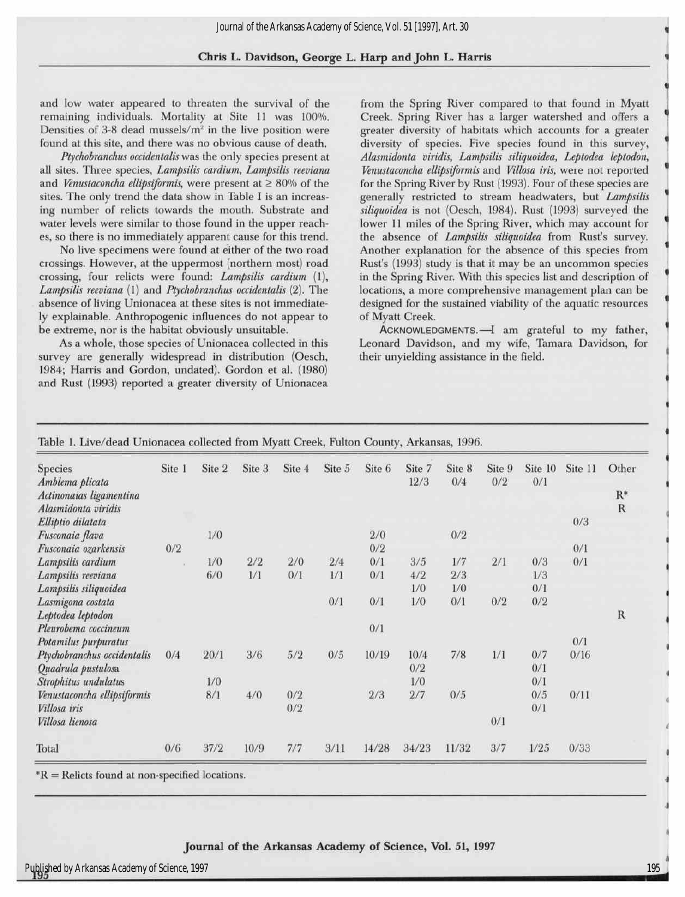## Chris L.Davidson, George L.Harp and John L.Harris

and low water appeared to threaten the survival of the remaining individuals. Mortality at Site 11 was 100%. Densities of 3-8 dead mussels/ $m<sup>2</sup>$  in the live position were found at this site, and there was no obvious cause of death.

Ptychobranchus occidentalis was the only species present at all sites. Three species, Lampsilis cardium, Lampsilis reeviana and Venustaconcha ellipsiformis, were present at  $\geq 80\%$  of the sites. The only trend the data show in Table I is an increasing number of relicts towards the mouth. Substrate and water levels were similar to those found in the upper reaches, so there is no immediately apparent cause for this trend.

No live specimens were found at either of the two road crossings. However, at the uppermost (northern most) road crossing, four relicts were found: Lampsilis cardium (1), Lampsilis reeviana (1) and Ptychobranchus occidentalis (2). The absence of living Unionacea at these sites is not immediately explainable. Anthropogenic influences do not appear to be extreme, nor is the habitat obviously unsuitable.

As a whole, those species of Unionacea collected in this survey are generally widespread in distribution (Oesch, 1984; Harris and Gordon, undated). Gordon et al. (1980) and Rust (1993) reported a greater diversity of Unionacea

from the Spring River compared to that found in Myatt Creek. Spring River has a larger watershed and offers a greater diversity of habitats which accounts for a greater diversity of species. Five species found in this survey, Alasmidonta viridis, Lampsilis siliquoidea, Leptodea leptodon, Venustaconcha ellipsiformis and Villosa iris, were not reported for the Spring River by Rust (1993). Four of these species are generally restricted to stream headwaters, but Lampsilis siliquoidea is not (Oesch, 1984). Rust (1993) surveyed the lower 11 miles of the Spring River, which may account for the absence of Lampsilis siliquoidea from Rust's survey. Another explanation for the absence of this species from Rust's (1993) study is that it may be an uncommon species in the Spring River. With this species list and description of locations, a more comprehensive management plan can be designed for the sustained viability of the aquatic resources of Myatt Creek.

Acknowledgments. —Iam grateful to my father, Leonard Davidson, and my wife, Tamara Davidson, for their unyielding assistance in the field.

| <b>Species</b><br>Amblema plicata | Site 1 | Site 2 | Site 3 | Site 4 | Site 5 | Site 6 | Site 7<br>12/3 | Site 8<br>0/4 | Site 9<br>0/2 | Site 10<br>0/1 | Site 11 | Other          |
|-----------------------------------|--------|--------|--------|--------|--------|--------|----------------|---------------|---------------|----------------|---------|----------------|
| Actinonaias ligamentina           |        |        |        |        |        |        |                |               |               |                |         | $\mathbf{R}^*$ |
| Alasmidonta viridis               |        |        |        |        |        |        |                |               |               |                |         | R              |
| Elliptio dilatata                 |        |        |        |        |        |        |                |               |               |                | 0/3     |                |
| Fusconaia flava                   |        | 1/0    |        |        |        | 2/0    |                | 0/2           |               |                |         |                |
| Fusconaia ozarkensis              | 0/2    |        |        |        |        | 0/2    |                |               |               |                | 0/1     |                |
| Lampsilis cardium                 |        | 1/0    | 2/2    | 2/0    | 2/4    | 0/1    | 3/5            | 1/7           | 2/1           | 0/3            | 0/1     |                |
| Lampsilis reeviana                |        | 6/0    | 1/1    | 0/1    | 1/1    | 0/1    | 4/2            | 2/3           |               | 1/3            |         |                |
| Lampsilis siliquoidea             |        |        |        |        |        |        | 1/0            | 1/0           |               | 0/1            |         |                |
| Lasmigona costata                 |        |        |        |        | 0/1    | 0/1    | 1/0            | 0/1           | 0/2           | 0/2            |         |                |
| Leptodea leptodon                 |        |        |        |        |        |        |                |               |               |                |         | R              |
| Pleurobema coccineum              |        |        |        |        |        | 0/1    |                |               |               |                |         |                |
| Potamilus purpuratus              |        |        |        |        |        |        |                |               |               |                | 0/1     |                |
| Ptychobranchus occidentalis       | 0/4    | 20/1   | 3/6    | 5/2    | 0/5    | 10/19  | 10/4           | 7/8           | 1/1           | 0/7            | 0/16    |                |
| Quadrula pustulosa                |        |        |        |        |        |        | 0/2            |               |               | 0/1            |         |                |
| Strophitus undulatus              |        | 1/0    |        |        |        |        | 1/0            |               |               | 0/1            |         |                |
| Venustaconcha ellipsiformis       |        | 8/1    | 4/0    | 0/2    |        | 2/3    | 2/7            | 0/5           |               | 0/5            | 0/11    |                |
| Villosa iris                      |        |        |        | 0/2    |        |        |                |               |               | 0/1            |         |                |
| Villosa lienosa                   |        |        |        |        |        |        |                |               | 0/1           |                |         |                |
| Total                             | 0/6    | 37/2   | 10/9   | 7/7    | 3/11   | 14/28  | 34/23          | 11/32         | 3/7           | 1/25           | 0/33    |                |

Table 1. Live/dead Unionacea collected from Myatt Creek, Fulton County, Arkansas, 1996.

\*R=Relicts found at non-specified locations.

#### Journal of the Arkansas Academy of Science, Vol. 51, <sup>1997</sup>

1 "

•

6

u

«

¦

t •

•

¦

•

i

¦

« i

i

i

« i

i

i

i

i